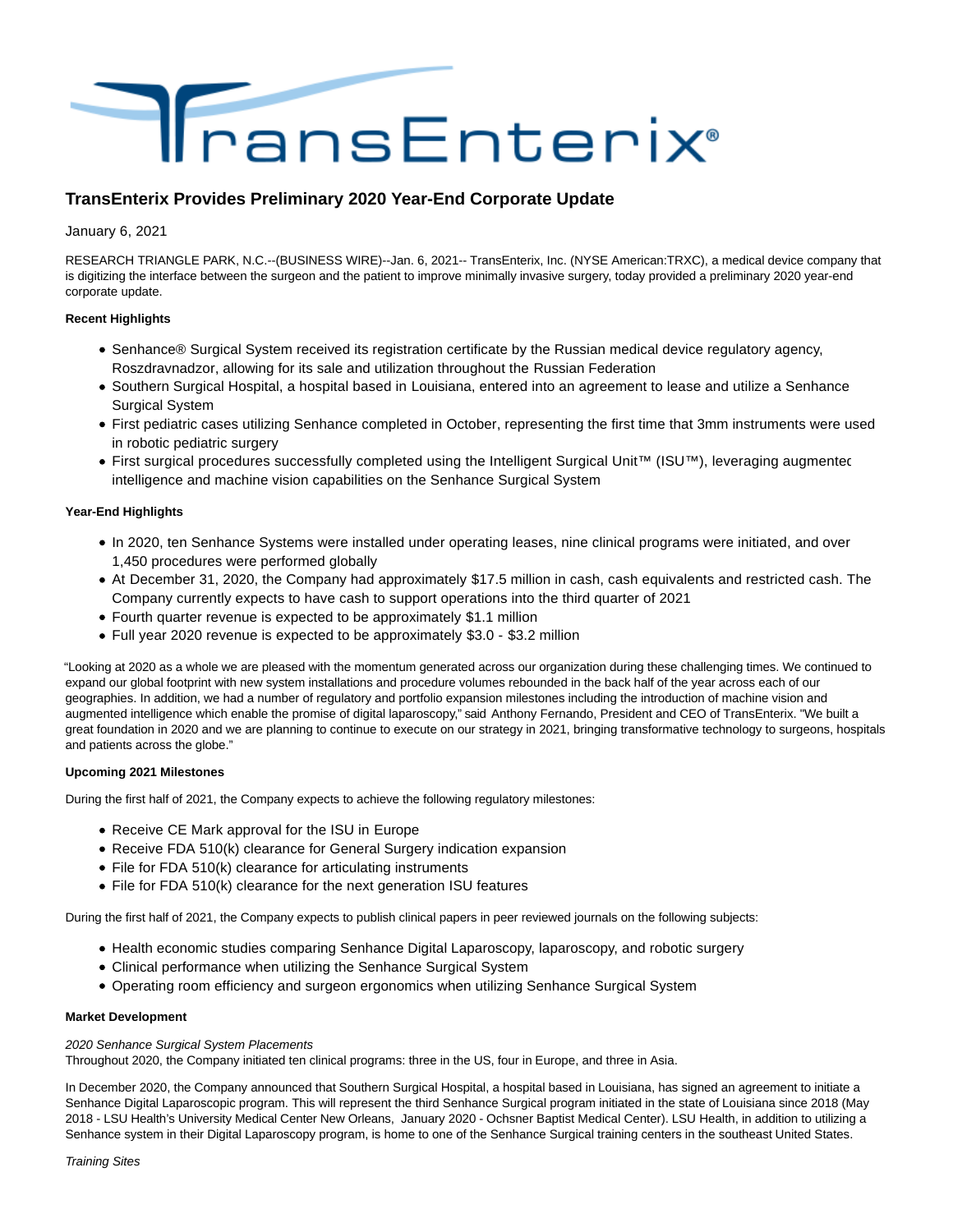

# **TransEnterix Provides Preliminary 2020 Year-End Corporate Update**

January 6, 2021

RESEARCH TRIANGLE PARK, N.C.--(BUSINESS WIRE)--Jan. 6, 2021-- TransEnterix, Inc. (NYSE American:TRXC), a medical device company that is digitizing the interface between the surgeon and the patient to improve minimally invasive surgery, today provided a preliminary 2020 year-end corporate update.

# **Recent Highlights**

- Senhance® Surgical System received its registration certificate by the Russian medical device regulatory agency, Roszdravnadzor, allowing for its sale and utilization throughout the Russian Federation
- Southern Surgical Hospital, a hospital based in Louisiana, entered into an agreement to lease and utilize a Senhance Surgical System
- First pediatric cases utilizing Senhance completed in October, representing the first time that 3mm instruments were used in robotic pediatric surgery
- First surgical procedures successfully completed using the Intelligent Surgical Unit™ (ISU™), leveraging augmented intelligence and machine vision capabilities on the Senhance Surgical System

# **Year-End Highlights**

- In 2020, ten Senhance Systems were installed under operating leases, nine clinical programs were initiated, and over 1,450 procedures were performed globally
- At December 31, 2020, the Company had approximately \$17.5 million in cash, cash equivalents and restricted cash. The Company currently expects to have cash to support operations into the third quarter of 2021
- Fourth quarter revenue is expected to be approximately \$1.1 million
- Full year 2020 revenue is expected to be approximately \$3.0 \$3.2 million

"Looking at 2020 as a whole we are pleased with the momentum generated across our organization during these challenging times. We continued to expand our global footprint with new system installations and procedure volumes rebounded in the back half of the year across each of our geographies. In addition, we had a number of regulatory and portfolio expansion milestones including the introduction of machine vision and augmented intelligence which enable the promise of digital laparoscopy," said Anthony Fernando, President and CEO of TransEnterix. "We built a great foundation in 2020 and we are planning to continue to execute on our strategy in 2021, bringing transformative technology to surgeons, hospitals and patients across the globe."

# **Upcoming 2021 Milestones**

During the first half of 2021, the Company expects to achieve the following regulatory milestones:

- Receive CE Mark approval for the ISU in Europe
- Receive FDA 510(k) clearance for General Surgery indication expansion
- File for FDA 510(k) clearance for articulating instruments
- File for FDA 510(k) clearance for the next generation ISU features

During the first half of 2021, the Company expects to publish clinical papers in peer reviewed journals on the following subjects:

- Health economic studies comparing Senhance Digital Laparoscopy, laparoscopy, and robotic surgery
- Clinical performance when utilizing the Senhance Surgical System
- Operating room efficiency and surgeon ergonomics when utilizing Senhance Surgical System

# **Market Development**

# 2020 Senhance Surgical System Placements

Throughout 2020, the Company initiated ten clinical programs: three in the US, four in Europe, and three in Asia.

In December 2020, the Company announced that Southern Surgical Hospital, a hospital based in Louisiana, has signed an agreement to initiate a Senhance Digital Laparoscopic program. This will represent the third Senhance Surgical program initiated in the state of Louisiana since 2018 (May 2018 - LSU Health's University Medical Center New Orleans, January 2020 - Ochsner Baptist Medical Center). LSU Health, in addition to utilizing a Senhance system in their Digital Laparoscopy program, is home to one of the Senhance Surgical training centers in the southeast United States.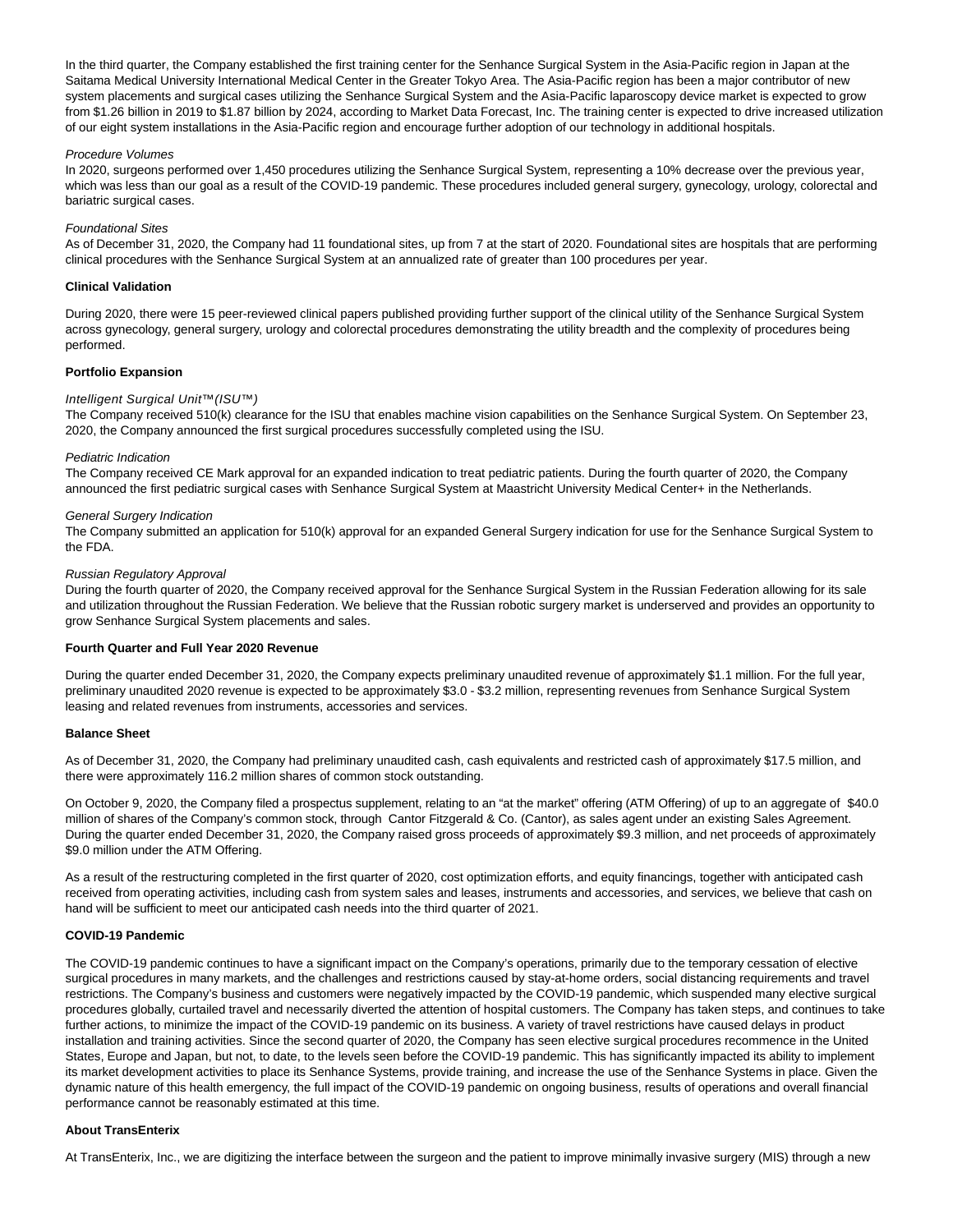In the third quarter, the Company established the first training center for the Senhance Surgical System in the Asia-Pacific region in Japan at the Saitama Medical University International Medical Center in the Greater Tokyo Area. The Asia-Pacific region has been a major contributor of new system placements and surgical cases utilizing the Senhance Surgical System and the Asia-Pacific laparoscopy device market is expected to grow from \$1.26 billion in 2019 to \$1.87 billion by 2024, according to Market Data Forecast, Inc. The training center is expected to drive increased utilization of our eight system installations in the Asia-Pacific region and encourage further adoption of our technology in additional hospitals.

#### Procedure Volumes

In 2020, surgeons performed over 1,450 procedures utilizing the Senhance Surgical System, representing a 10% decrease over the previous year, which was less than our goal as a result of the COVID-19 pandemic. These procedures included general surgery, gynecology, urology, colorectal and bariatric surgical cases.

#### Foundational Sites

As of December 31, 2020, the Company had 11 foundational sites, up from 7 at the start of 2020. Foundational sites are hospitals that are performing clinical procedures with the Senhance Surgical System at an annualized rate of greater than 100 procedures per year.

#### **Clinical Validation**

During 2020, there were 15 peer-reviewed clinical papers published providing further support of the clinical utility of the Senhance Surgical System across gynecology, general surgery, urology and colorectal procedures demonstrating the utility breadth and the complexity of procedures being performed.

# **Portfolio Expansion**

# Intelligent Surgical Unit™(ISU™)

The Company received 510(k) clearance for the ISU that enables machine vision capabilities on the Senhance Surgical System. On September 23, 2020, the Company announced the first surgical procedures successfully completed using the ISU.

#### Pediatric Indication

The Company received CE Mark approval for an expanded indication to treat pediatric patients. During the fourth quarter of 2020, the Company announced the first pediatric surgical cases with Senhance Surgical System at Maastricht University Medical Center+ in the Netherlands.

#### General Surgery Indication

The Company submitted an application for 510(k) approval for an expanded General Surgery indication for use for the Senhance Surgical System to the FDA.

#### Russian Regulatory Approval

During the fourth quarter of 2020, the Company received approval for the Senhance Surgical System in the Russian Federation allowing for its sale and utilization throughout the Russian Federation. We believe that the Russian robotic surgery market is underserved and provides an opportunity to grow Senhance Surgical System placements and sales.

#### **Fourth Quarter and Full Year 2020 Revenue**

During the quarter ended December 31, 2020, the Company expects preliminary unaudited revenue of approximately \$1.1 million. For the full year, preliminary unaudited 2020 revenue is expected to be approximately \$3.0 - \$3.2 million, representing revenues from Senhance Surgical System leasing and related revenues from instruments, accessories and services.

#### **Balance Sheet**

As of December 31, 2020, the Company had preliminary unaudited cash, cash equivalents and restricted cash of approximately \$17.5 million, and there were approximately 116.2 million shares of common stock outstanding.

On October 9, 2020, the Company filed a prospectus supplement, relating to an "at the market" offering (ATM Offering) of up to an aggregate of \$40.0 million of shares of the Company's common stock, through Cantor Fitzgerald & Co. (Cantor), as sales agent under an existing Sales Agreement. During the quarter ended December 31, 2020, the Company raised gross proceeds of approximately \$9.3 million, and net proceeds of approximately \$9.0 million under the ATM Offering.

As a result of the restructuring completed in the first quarter of 2020, cost optimization efforts, and equity financings, together with anticipated cash received from operating activities, including cash from system sales and leases, instruments and accessories, and services, we believe that cash on hand will be sufficient to meet our anticipated cash needs into the third quarter of 2021.

# **COVID-19 Pandemic**

The COVID-19 pandemic continues to have a significant impact on the Company's operations, primarily due to the temporary cessation of elective surgical procedures in many markets, and the challenges and restrictions caused by stay-at-home orders, social distancing requirements and travel restrictions. The Company's business and customers were negatively impacted by the COVID-19 pandemic, which suspended many elective surgical procedures globally, curtailed travel and necessarily diverted the attention of hospital customers. The Company has taken steps, and continues to take further actions, to minimize the impact of the COVID-19 pandemic on its business. A variety of travel restrictions have caused delays in product installation and training activities. Since the second quarter of 2020, the Company has seen elective surgical procedures recommence in the United States, Europe and Japan, but not, to date, to the levels seen before the COVID-19 pandemic. This has significantly impacted its ability to implement its market development activities to place its Senhance Systems, provide training, and increase the use of the Senhance Systems in place. Given the dynamic nature of this health emergency, the full impact of the COVID-19 pandemic on ongoing business, results of operations and overall financial performance cannot be reasonably estimated at this time.

# **About TransEnterix**

At TransEnterix, Inc., we are digitizing the interface between the surgeon and the patient to improve minimally invasive surgery (MIS) through a new